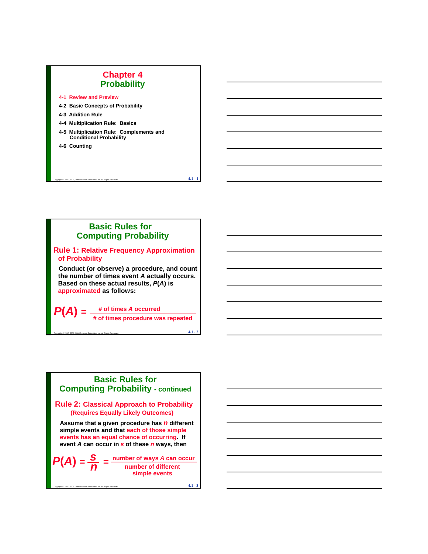## **Chapter 4 Probability**

**4-1 Review and Preview**

- **4-2 Basic Concepts of Probability**
- **4-3 Addition Rule**
- **4-4 Multiplication Rule: Basics**
- **4-4 Multiplication Rule: 4-5 Multiplication Rule: Complements and Conditional Probability**
- **4-6 Counting**

## **Basic Rules for Computing Probability**

Copyright © 2010, 2007, 2004 Pearson Education, Inc. All Rights Reserved.  $\bf 4.1$  –  $\bf 1$ 

#### **Rule 1: Relative Frequency Approximation of Probability**

**Conduct (or observe) a procedure, and count the number of times event** *A* **actually occurs the number of times actually occurs. Based on these actual results,** *P***(***A***) is approximated as follows:**

*P***(***A***)** *=* **# of times** *A* **occurred # of times procedure was repeated**

Copyright © 2010, 2007, 2004 Pearson Education, Inc. All Rights Reserved. **4.1 - 2** 

# **Basic Rules for Computing Probability - continued**

**Rule 2: Classical Approach to Probability (Requires Equally Likely Outcomes)**

**Assume that a given procedure has** *n* **different simple events and that each of those simple simple events and each of those events has an equal chance of occurring. If event** *A* **can occur in** *s* **of these** *n* **ways, then**

 $P(A) = \frac{S}{I} = \frac{\text{number of ways } A \text{ can occur}}{\text{number of different}}$ **number of different simple events** *s n* **=**

Copyright © 2010, 2007, 2004 Pearson Education, Inc. All Rights Reserved. **4.1 - 3**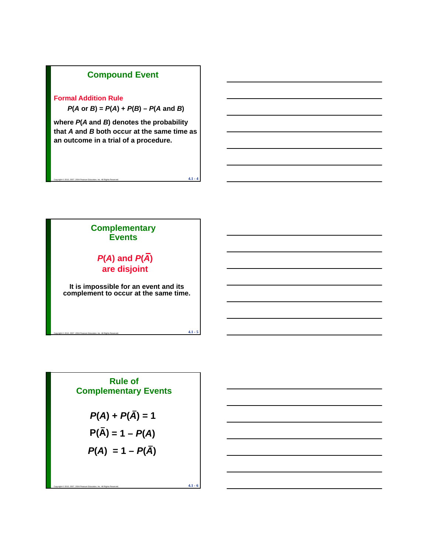# **Compound Event**

#### **Formal Addition Rule**

 $P(A \text{ or } B) = P(A) + P(B) - P(A \text{ and } B)$ 

**where** *P***(***A* **and** *B***) denotes the probability ) denotes the that** *A* **and** *B* **both occur at the same time as an outcome in a trial of a procedure.**

Copyright © 2010, 2007, 2004 Pearson Education, Inc. All Rights Reserved. **4.1 - 4** 



Rule of  
Complementary Events  

$$
P(A) + P(\overline{A}) = 1
$$
  
 $P(\overline{A}) = 1 - P(A)$   
 $P(A) = 1 - P(\overline{A})$ 

Copyright © 2010, 2007, 2004 Pearson Education, Inc. All Rights Reserved. **4.1 - 6**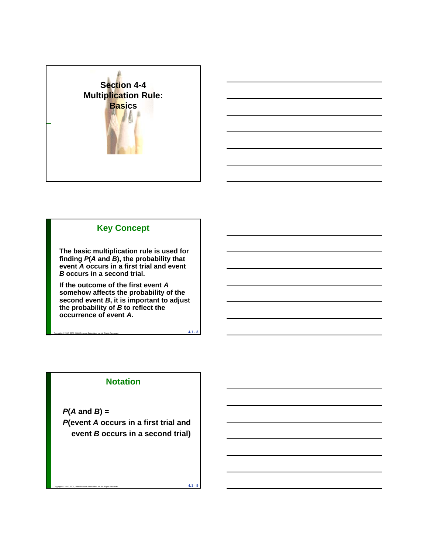



**The basic multiplication rule is used for finding** *P***(***A* **and** *B***), the probability that event** *A* **occurs in a first trial and event**  *B* **occurs in a second trial.**

**If the outcome of the first event** *A* **somehow affects the probability of the second event** *B***, it is important to adjust the probability of** *B* **to reflect the occurrence of event** *A***.**

Copyright © 2010, 2007, 2004 Pearson Education, Inc. All Rights Reserved. **4.1 - 8** 

## **Notation**

*P***(***A* **and** *B***) =**  *P***(event** *A* **occurs in a first trial and event** *B* **occurs in a second trial)**

Copyright © 2010, 2007, 2004 Pearson Education, Inc. All Rights Reserved. **4.1 - 9**  $\overline{\phantom{a}4.1}$  **4.1 - 9**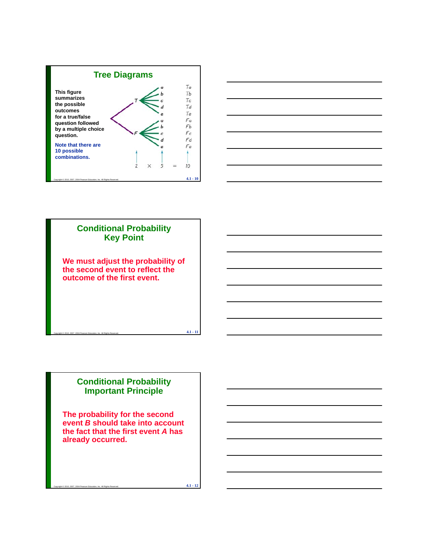





## **Conditional Probability Important Principle**

**The probability for the second event** *B* **should take into account the fact that the first event** *A* **has the fact that the first already occurred.**

Copyright © 2010, 2007, 2004 Pearson Education, Inc. All Rights Reserved. **4.1 - 12**  $\bullet$  **4.1 - 12**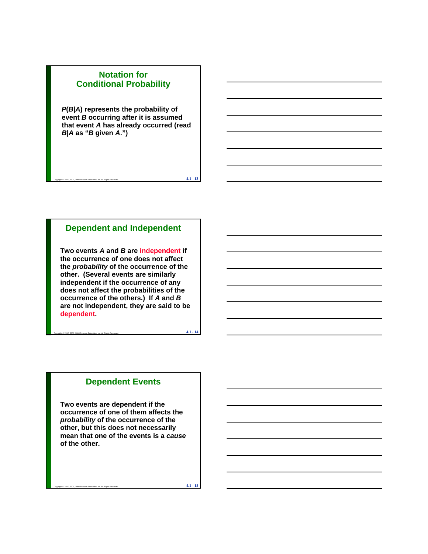## **Notation for Conditional Probability**

*P***(***B***|***A***) represents the probability of event** *B* **occurring after it is assumed that event A has already occurred (read** *B***|***A* **as "***B* **given** *A***.")**

## **Dependent and Independent**

Copyright © 2010, 2007, 2004 Pearson Education, Inc. All Rights Reserved. **4.1** - 13

**Two events** *A* **and** *B* **are independent if the occurrence of one does not affect the** *probability* **of the occurrence of the other. (Several events are similarly** independent if the occurrence of any **does not affect the probabilities of the occurrence of the others.) If** *A* **and** *B* **are not independent, they are said to be dependent.**

Copyright © 2010, 2007, 2004 Pearson Education, Inc. All Rights Reserved. **4.1 - 14** 

#### **Dependent Events**

**Two events are dependent if the occurrence of one of them affects the**  *probability* **of the occurrence of the other, but this does not necessarily** mean that one of the events is a *cause* **of the other.**

Copyright © 2010, 2007, 2004 Pearson Education, Inc. All Rights Reserved. **4.1 - 15**  $\overline{\phantom{a}}$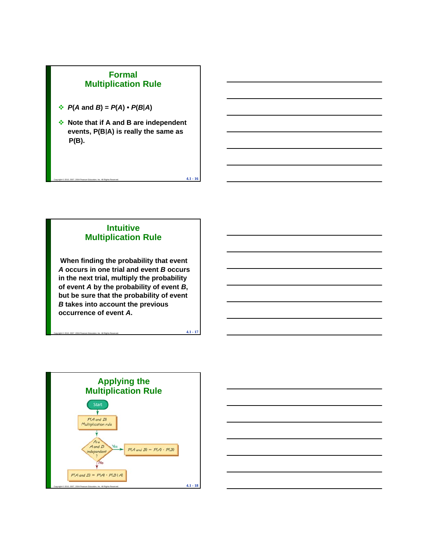## **Formal Multiplication Rule**

- $\div$  *P*(*A* and *B*) = *P*(*A*)  $\cdot$  *P*(*B*|*A*)
- **Note that if A and B are independent Note that if A and B are** events, P(B|A) is really the same as **P(B).**

Copyright © 2010, 2007, 2004 Pearson Education, Inc. All Rights Reserved.  $\bf 4.1$  -  $\bf 16$ 

## **Intuitive Multiplication Rule**

**When finding the probability that event**  *A* **occurs in one trial and event** *B* **occurs in the next trial, multiply the probability of event** *A* **by the probability of event** *B***, but be sure that the probability of event**  *B* **takes into account the previous occurrence of event** *A***.**

Copyright © 2010, 2007, 2004 Pearson Education, Inc. All Rights Reserved. **4.1 - 17**  $\bullet$  **4.1 - 17** 

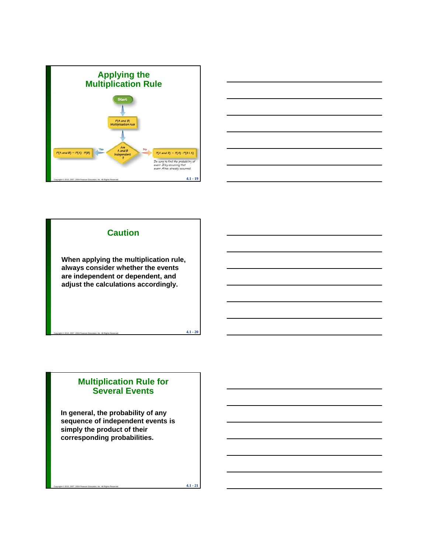



## **Caution**

**When applying the multiplication rule, always consider whether the events**  are independent or dependent, and **are independent or dependent, adjust the calculations accordingly.** 

Copyright © 2010, 2007, 2004 Pearson Education, Inc. All Rights Reserved.  $\bf 4.1$  -  $\bf 20$ 

## **Multiplication Rule for Several Events**

**In general, the probability of any sequence of independent events is simply the product of their simply the product of corresponding probabilities.**

Copyright © 2010, 2007, 2004 Pearson Education, Inc. All Rights Reserved.  $\bf 4.1$  -  $\bf 21$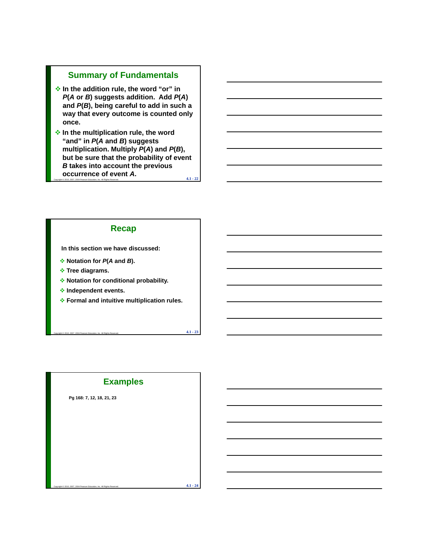## **Summary of Fundamentals**

- **In the addition rule, the word "or" in**  *P***(***A* **or** *B***) suggests addition. Add** *P***(***A***) and** *P***(***B***), being careful to add in such a way that every outcome is counted only once .**
- Copyright © 2010, 2007, 2004 Pearson Education, Inc. All Rights Reserved.  $\bf 4.1$   $\bf 22$  **In the multiplication rule, the word "and" in** *P***(***A* **and** *B***) suggests multiplication. Multiply** *P***(***A***) and** *P***(***B***), but be sure that the probability of event**  *B* **takes into account the previous occurrence of event** *A***.**

#### **Recap**

**In this section we have discussed:**

- **Notation for** *P***(***A* **and** *B***).**
- **Tree diagrams.**
- **Notation for conditional probability.**
- **Independent events.**
- **Formal and intuitive multiplication rules.**

Copyright © 2010, 2007, 2004 Pearson Education, Inc. All Rights Reserved.  $\bf 4.1$  -  $\bf 23$ 

## **Examples**

Copyright © 2010, 2007, 2004 Pearson Education, Inc. All Rights Reserved. **4.1 - 24**  $\overline{\phantom{a}}$ 

**Pg 168: 7, 12, 18, 21, 23**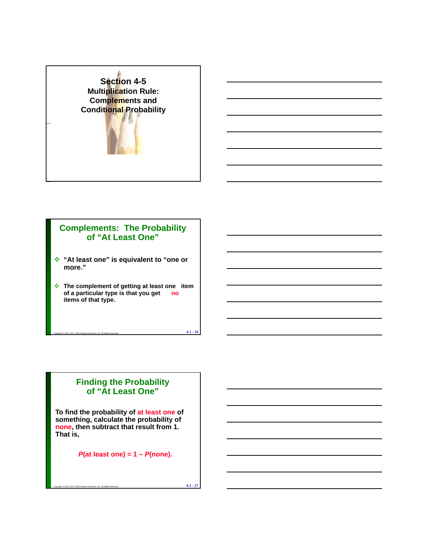

## **Complements: The Probability of "At Least One"**

- **"At least one" is equivalent to "one or more."**
- **The complement of getting at least one item of a particular type is that you get no items of that type.**

Copyright © 2010, 2007, 2004 Pearson Education, Inc. All Rights Reserved.  $\bf 4.1$  -  $\bf 26$ 

## **Finding the Probability of "At Least One"**

**To find the probability of at least one of something, calculate the probability of none, then subtract that result from 1. That is,**

*P***(at least one) = 1 –** *P***(none).**

Copyright © 2010, 2007, 2004 Pearson Education, Inc. All Rights Reserved. **4.1 - 27**  $\overline{\phantom{a} }$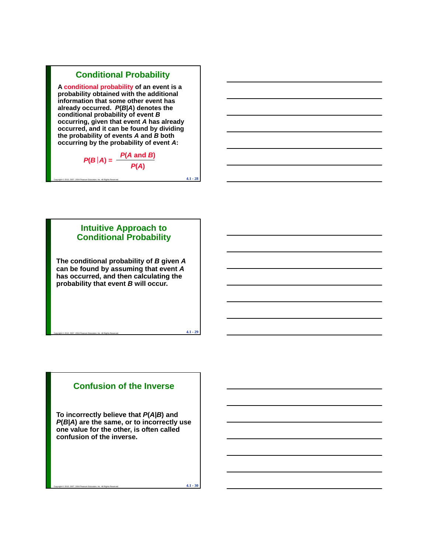## **Conditional Probability**

**A conditional probability of an event is a probability obtained with the additional information that some other event has already occurred.** *P***(***B***|***A***) denotes the conditional probability of event** *B* **occurring, given that event** *A* **has already occurring, given that has occurred, and it can be found by dividing the probability of events** *A* **and** *B* **both occurring by the probability of event** *A***:**



Copyright © 2010, 2007, 2004 Pearson Education, Inc. All Rights Reserved.  $\bf 4.1$  -  $\bf 28$ 

# **Intuitive Approach to Conditional Probability The conditional probability of** *B* **given** *A* **can be found by assuming that event** *A* **has occurred and then calculating the has occurred, and then calculating probability that event** *B* **will occur.**

## **Confusion of the Inverse**

Copyright © 2010, 2007, 2004 Pearson Education, Inc. All Rights Reserved.  $\bf 4.1$  -  $\bf 29$ 

**To incorrectly believe that** *P***(***A|B***) and**  *P***(***B|A***) are the same, or to incorrectly use one value for the other is often called one value for the other, is often confusion of the inverse.** 

Copyright © 2010, 2007, 2004 Pearson Education, Inc. All Rights Reserved. **4.1 - 30**  $\overline{\phantom{a}4.1}$  -  $\overline{30}$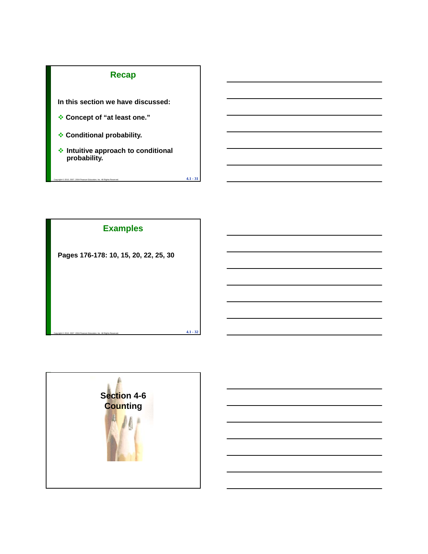## **Recap**

**In this section we have discussed:**

- **Concept of "at least one."**
- **Conditional probability.**
- **Intuitive approach to conditional probability.**

Copyright © 2010, 2007, 2004 Pearson Education, Inc. All Rights Reserved.  $\bf 4.1$  -  $\bf 31$ 

## **Examples**

**Pages 176-178: 10, 15, 20, 22, 25, 30**



Copyright © 2010, 2007, 2004 Pearson Education, Inc. All Rights Reserved.  $\bf 4.1$  -  $\bf 32$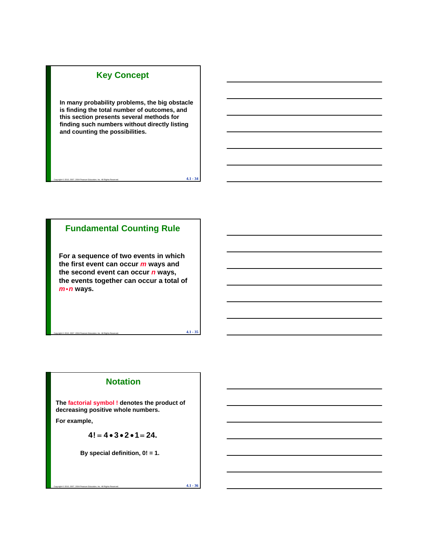## **Key Concept**

**In many probability problems, the big obstacle is finding the total number of outcomes, and this section presents several methods for finding such numbers without directly listing finding such numbers without directly and counting the possibilities.**

Copyright © 2010, 2007, 2004 Pearson Education, Inc. All Rights Reserved. **4.1 - 34**  $\overline{\phantom{a}4.1}$  -  $\overline{\phantom{a}34}$ 

## **Fundamental Counting Rule**

**For a sequence of two events in which the first event can occur** *m* **ways and the second event can occur** *n* **ways, the events together can occur a total of**  *m*•*n* ways.

## **Notation**

 $\epsilon$ Copyright © 2010, 2007, 2004 Pearson Education, Inc. All Rights Reserved.  $\bf 4.1$  -  $\bf 35$ 

**The factorial symbol ! denotes the product of decreasing positive whole numbers.** 

**For example,** 

$$
4! = 4 \bullet 3 \bullet 2 \bullet 1 = 24.
$$

**By special definition, 0! = 1.** 

Copyright © 2010, 2007, 2004 Pearson Education, Inc. All Rights Reserved. **4.1 - 36**  $\overline{\phantom{a}4.1}$  -  $\overline{36}$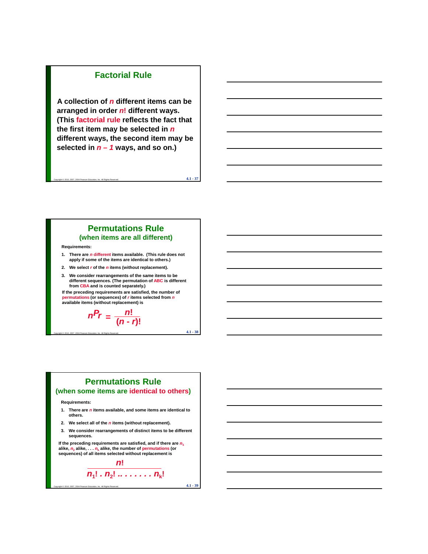### **Factorial Rule**

**A collection of** *n* **different items can be arranged in order** *n***! different ways. (This factorial rule reflects the fact that ( the first item may be selected in** *n* **different ways, the second item may be selected in** *n – 1* **ways, and so on.)**

Copyright © 2010, 2007, 2004 Pearson Education, Inc. All Rights Reserved. **4.1 - 37**  $\overline{\phantom{a} }$ 

#### **Permutations Rule (when items are all different)**

**Requirements:**

**1. There are** *n* **different items available. (This rule does not apply if some of the items are identical to others.)**

- **2. We select** *r* **of the** *n* **items (without replacement).**
- **3. We consider rearrangements of the same items to be We consider rearrangements of the same items to different sequences. (The permutation of ABC is different from CBA and is counted separately.)**

**If the preceding requirements are satisfied, the number of permutations (or sequences) of** *r* **items selected from** *n* **available items (without replacement) is**

 $n^2r = \frac{n!}{(n-r)!}$ 

## **Permutations Rule**

Copyright © 2010, 2007, 2004 Pearson Education, Inc. All Rights Reserved.  $\bf 4.1$  -  $\bf 38$ 

**(when some items are identical to others)**

#### **Requirements:**

- **1. There are** *n* **items available, and some items are identical to others.**
- **2. We select all of the** *n* **items (without replacement).**
- **3 We consider rearrangements of distinct items to be different 3. We consider rearrangements of distinct items to be sequences.**

If the preceding requirements are satisfied, and if there are  $n_1$ alike,  $n_2$  alike,  $\dots n_k$  alike, the number of permutations (or **sequences) of all items selected without replacement is**

$$
\frac{n!}{n_1!\cdot n_2!\cdot\ldots\cdot n_k!}
$$

Copyright © 2010, 2007, 2004 Pearson Education, Inc. All Rights Reserved. **4.1 - 39**  $\overline{4.1}$  -  $\overline{39}$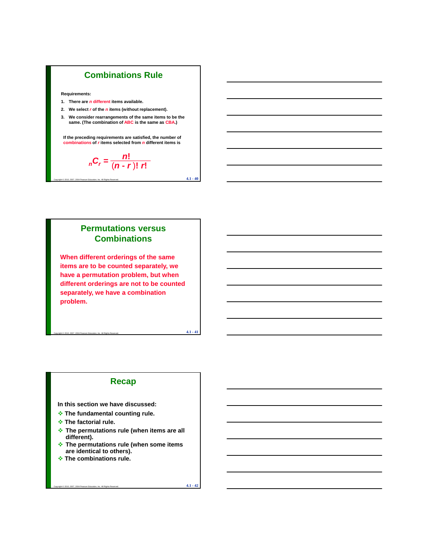

**Requirements:**

- **1. There are** *n* **different items available.**
- **2. We select** *r* **of the** *n* **items (without replacement).**
- **3. We consider rearrangements of the same items to be the same. (The combination of ABC is the same as CBA.) same. (The combination is the same**

**If the preceding requirements are satisfied, the number of combinations of** *r* **items selected from** *n* **different items is**

Copyright © 2010, 2007, 2004 Pearson Education, Inc. All Rights Reserved.  $\bf 4.1$  -  $\bf 40$ 

$$
{}_{n}C_{r}=\frac{n!}{(n-r)! \; r!}
$$

## **Permutations versus Combinations**

**When different orderings of the same items are to be counted separately, we have a permutation problem, but when have a permutation problem, but different orderings are not to be counted separately, we have a combination problem.**

## **Recap**

Copyright © 2010, 2007, 2004 Pearson Education, Inc. All Rights Reserved.  $\bf 4.1$  -  $\bf 41$ 

**In this section we have discussed:**

- **The fundamental counting rule.**
- **The factorial rule.**
- **The permutations rule (when items are all The permutations rule (when items are different).**
- **The permutations rule (when some items are identical to others).**
- **The combinations rule.**

Copyright © 2010, 2007, 2004 Pearson Education, Inc. All Rights Reserved.  $\quad \ \ \, 4.1 \cdot 42$